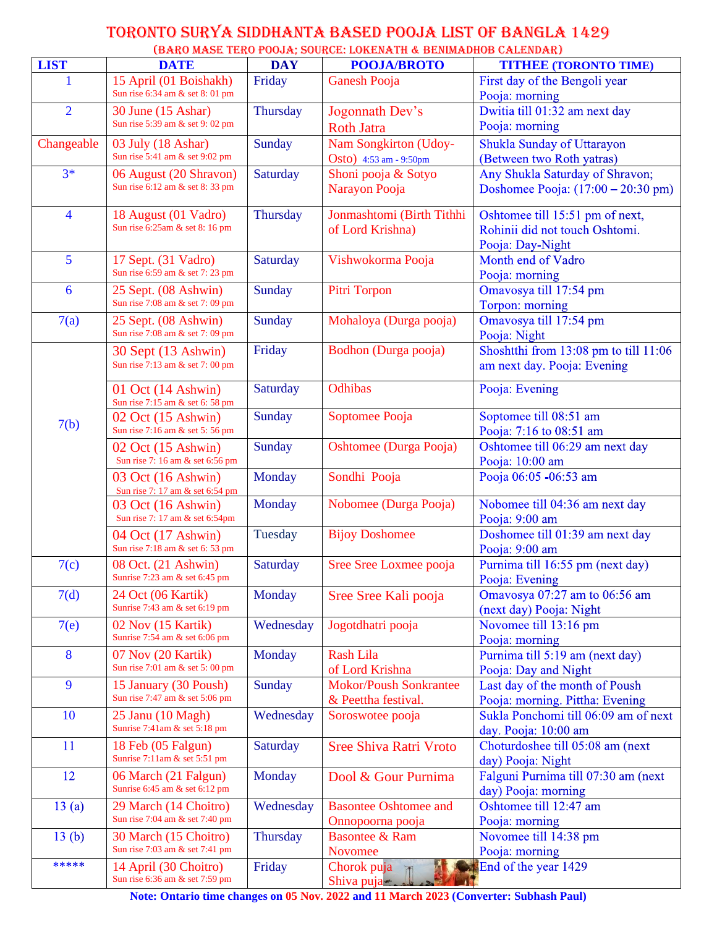## TORONTO SURYA SIDDHANTA BASED POOJA LIST OF BANGLA 1429 (BARO MASE TERO POOJA; SOURCE: LOKENATH & BENIMADHOB CALENDAR)

|                |                                                       |            | (BAKU MASE TEKU FUUJA; SUUKUE: LUNENATH & BENIMADHUB UALENDAK) |                                              |
|----------------|-------------------------------------------------------|------------|----------------------------------------------------------------|----------------------------------------------|
| <b>LIST</b>    | <b>DATE</b>                                           | <b>DAY</b> | <b>POOJA/BROTO</b>                                             | <b>TITHEE (TORONTO TIME)</b>                 |
| 1              | 15 April (01 Boishakh)                                | Friday     | <b>Ganesh Pooja</b>                                            | First day of the Bengoli year                |
|                | Sun rise 6:34 am & set 8:01 pm                        |            |                                                                | Pooja: morning                               |
| $\overline{2}$ | 30 June (15 Ashar)                                    | Thursday   | Jogonnath Dev's                                                | Dwitia till 01:32 am next day                |
|                | Sun rise 5:39 am & set 9:02 pm                        |            | <b>Roth Jatra</b>                                              | Pooja: morning                               |
| Changeable     | 03 July (18 Ashar)                                    | Sunday     | Nam Songkirton (Udoy-                                          | Shukla Sunday of Uttarayon                   |
|                | Sun rise 5:41 am & set 9:02 pm                        |            | Osto) 4:53 am - 9:50pm                                         | (Between two Roth yatras)                    |
| $3*$           | 06 August (20 Shravon)                                | Saturday   | Shoni pooja & Sotyo                                            | Any Shukla Saturday of Shravon;              |
|                | Sun rise 6:12 am & set 8:33 pm                        |            |                                                                | Doshomee Pooja: $(17:00 - 20:30 \text{ pm})$ |
|                |                                                       |            | Narayon Pooja                                                  |                                              |
| $\overline{4}$ | 18 August (01 Vadro)                                  | Thursday   | Jonmashtomi (Birth Tithhi                                      | Oshtomee till 15:51 pm of next,              |
|                | Sun rise 6:25am & set 8:16 pm                         |            | of Lord Krishna)                                               | Rohinii did not touch Oshtomi.               |
|                |                                                       |            |                                                                | Pooja: Day-Night                             |
| 5              | 17 Sept. (31 Vadro)                                   | Saturday   | Vishwokorma Pooja                                              | Month end of Vadro                           |
|                | Sun rise 6:59 am & set 7:23 pm                        |            |                                                                | Pooja: morning                               |
| 6              | 25 Sept. (08 Ashwin)                                  | Sunday     | Pitri Torpon                                                   | Omavosya till 17:54 pm                       |
|                | Sun rise 7:08 am & set 7:09 pm                        |            |                                                                | Torpon: morning                              |
| 7(a)           | 25 Sept. (08 Ashwin)                                  | Sunday     | Mohaloya (Durga pooja)                                         | Omavosya till 17:54 pm                       |
|                | Sun rise 7:08 am & set 7:09 pm                        |            |                                                                | Pooja: Night                                 |
|                | 30 Sept (13 Ashwin)                                   | Friday     | Bodhon (Durga pooja)                                           | Shoshtthi from 13:08 pm to till 11:06        |
|                | Sun rise 7:13 am & set 7:00 pm                        |            |                                                                | am next day. Pooja: Evening                  |
|                |                                                       |            |                                                                |                                              |
|                | 01 Oct (14 Ashwin)                                    | Saturday   | <b>Odhibas</b>                                                 | Pooja: Evening                               |
|                | Sun rise 7:15 am & set 6:58 pm                        |            |                                                                |                                              |
| 7(b)           | 02 Oct (15 Ashwin)                                    | Sunday     | Soptomee Pooja                                                 | Soptomee till 08:51 am                       |
|                | Sun rise 7:16 am & set 5:56 pm                        |            |                                                                | Pooja: 7:16 to 08:51 am                      |
|                | 02 Oct (15 Ashwin)<br>Sun rise 7: 16 am & set 6:56 pm | Sunday     | Oshtomee (Durga Pooja)                                         | Oshtomee till 06:29 am next day              |
|                |                                                       |            |                                                                | Pooja: 10:00 am                              |
|                | 03 Oct (16 Ashwin)<br>Sun rise 7: 17 am & set 6:54 pm | Monday     | Sondhi Pooja                                                   | Pooja 06:05 -06:53 am                        |
|                | 03 Oct (16 Ashwin)                                    | Monday     | Nobomee (Durga Pooja)                                          | Nobomee till 04:36 am next day               |
|                | Sun rise 7: 17 am & set 6:54pm                        |            |                                                                | Pooja: 9:00 am                               |
|                | 04 Oct (17 Ashwin)                                    | Tuesday    | <b>Bijoy Doshomee</b>                                          | Doshomee till 01:39 am next day              |
|                | Sun rise 7:18 am & set 6:53 pm                        |            |                                                                | Pooja: 9:00 am                               |
| 7(c)           | 08 Oct. (21 Ashwin)                                   | Saturday   | Sree Sree Loxmee pooja                                         | Purnima till 16:55 pm (next day)             |
|                | Sunrise 7:23 am & set 6:45 pm                         |            |                                                                | Pooja: Evening                               |
| 7(d)           | 24 Oct (06 Kartik)                                    | Monday     | Sree Sree Kali pooja                                           | Omavosya 07:27 am to 06:56 am                |
|                | Sunrise 7:43 am & set 6:19 pm                         |            |                                                                | (next day) Pooja: Night                      |
| 7(e)           | 02 Nov (15 Kartik)                                    | Wednesday  | Jogotdhatri pooja                                              | Novomee till 13:16 pm                        |
|                | Sunrise 7:54 am & set 6:06 pm                         |            |                                                                | Pooja: morning                               |
| 8              | 07 Nov (20 Kartik)                                    | Monday     | <b>Rash Lila</b>                                               | Purnima till 5:19 am (next day)              |
|                | Sun rise 7:01 am & set 5:00 pm                        |            | of Lord Krishna                                                | Pooja: Day and Night                         |
| 9              | 15 January (30 Poush)                                 | Sunday     | <b>Mokor/Poush Sonkrantee</b>                                  | Last day of the month of Poush               |
|                | Sun rise 7:47 am & set 5:06 pm                        |            | & Peettha festival.                                            | Pooja: morning. Pittha: Evening              |
| 10             | 25 Janu (10 Magh)                                     | Wednesday  | Soroswotee pooja                                               | Sukla Ponchomi till 06:09 am of next         |
|                | Sunrise 7:41am & set 5:18 pm                          |            |                                                                | day. Pooja: 10:00 am                         |
| 11             | 18 Feb (05 Falgun)                                    | Saturday   | <b>Sree Shiva Ratri Vroto</b>                                  | Choturdoshee till 05:08 am (next             |
|                | Sunrise 7:11am & set 5:51 pm                          |            |                                                                | day) Pooja: Night                            |
| 12             | 06 March (21 Falgun)                                  | Monday     | Dool & Gour Purnima                                            | Falguni Purnima till 07:30 am (next          |
|                | Sunrise 6:45 am & set 6:12 pm                         |            |                                                                | day) Pooja: morning                          |
| 13(a)          | 29 March (14 Choitro)                                 | Wednesday  | <b>Basontee Oshtomee and</b>                                   | Oshtomee till 12:47 am                       |
|                | Sun rise 7:04 am & set 7:40 pm                        |            | Onnopoorna pooja                                               | Pooja: morning                               |
| 13(b)          | 30 March (15 Choitro)                                 | Thursday   | <b>Basontee &amp; Ram</b>                                      | Novomee till 14:38 pm                        |
|                | Sun rise 7:03 am & set 7:41 pm                        |            | Novomee                                                        | Pooja: morning                               |
| *****          | 14 April (30 Choitro)                                 | Friday     | Chorok puja                                                    | End of the year 1429                         |
|                | Sun rise 6:36 am & set 7:59 pm                        |            | Shiva puja                                                     |                                              |

**Note: Ontario time changes on 05 Nov. 2022 and 11 March 2023 (Converter: Subhash Paul)**